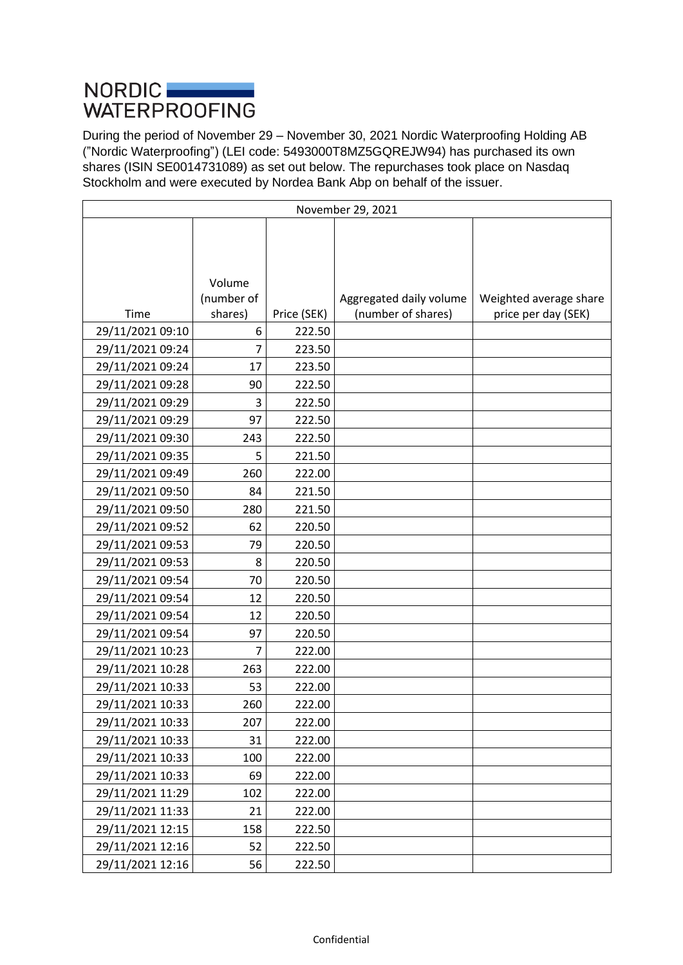## NORDIC **NORDIC WATERPROOFING**

During the period of November 29 – November 30, 2021 Nordic Waterproofing Holding AB ("Nordic Waterproofing") (LEI code: 5493000T8MZ5GQREJW94) has purchased its own shares (ISIN SE0014731089) as set out below. The repurchases took place on Nasdaq Stockholm and were executed by Nordea Bank Abp on behalf of the issuer.

| November 29, 2021 |            |             |                         |                        |
|-------------------|------------|-------------|-------------------------|------------------------|
|                   |            |             |                         |                        |
|                   |            |             |                         |                        |
|                   |            |             |                         |                        |
|                   | Volume     |             |                         |                        |
|                   | (number of |             | Aggregated daily volume | Weighted average share |
| Time              | shares)    | Price (SEK) | (number of shares)      | price per day (SEK)    |
| 29/11/2021 09:10  | 6          | 222.50      |                         |                        |
| 29/11/2021 09:24  | 7          | 223.50      |                         |                        |
| 29/11/2021 09:24  | 17         | 223.50      |                         |                        |
| 29/11/2021 09:28  | 90         | 222.50      |                         |                        |
| 29/11/2021 09:29  | 3          | 222.50      |                         |                        |
| 29/11/2021 09:29  | 97         | 222.50      |                         |                        |
| 29/11/2021 09:30  | 243        | 222.50      |                         |                        |
| 29/11/2021 09:35  | 5          | 221.50      |                         |                        |
| 29/11/2021 09:49  | 260        | 222.00      |                         |                        |
| 29/11/2021 09:50  | 84         | 221.50      |                         |                        |
| 29/11/2021 09:50  | 280        | 221.50      |                         |                        |
| 29/11/2021 09:52  | 62         | 220.50      |                         |                        |
| 29/11/2021 09:53  | 79         | 220.50      |                         |                        |
| 29/11/2021 09:53  | 8          | 220.50      |                         |                        |
| 29/11/2021 09:54  | 70         | 220.50      |                         |                        |
| 29/11/2021 09:54  | 12         | 220.50      |                         |                        |
| 29/11/2021 09:54  | 12         | 220.50      |                         |                        |
| 29/11/2021 09:54  | 97         | 220.50      |                         |                        |
| 29/11/2021 10:23  | 7          | 222.00      |                         |                        |
| 29/11/2021 10:28  | 263        | 222.00      |                         |                        |
| 29/11/2021 10:33  | 53         | 222.00      |                         |                        |
| 29/11/2021 10:33  | 260        | 222.00      |                         |                        |
| 29/11/2021 10:33  | 207        | 222.00      |                         |                        |
| 29/11/2021 10:33  | 31         | 222.00      |                         |                        |
| 29/11/2021 10:33  | 100        | 222.00      |                         |                        |
| 29/11/2021 10:33  | 69         | 222.00      |                         |                        |
| 29/11/2021 11:29  | 102        | 222.00      |                         |                        |
| 29/11/2021 11:33  | 21         | 222.00      |                         |                        |
| 29/11/2021 12:15  | 158        | 222.50      |                         |                        |
| 29/11/2021 12:16  | 52         | 222.50      |                         |                        |
| 29/11/2021 12:16  | 56         | 222.50      |                         |                        |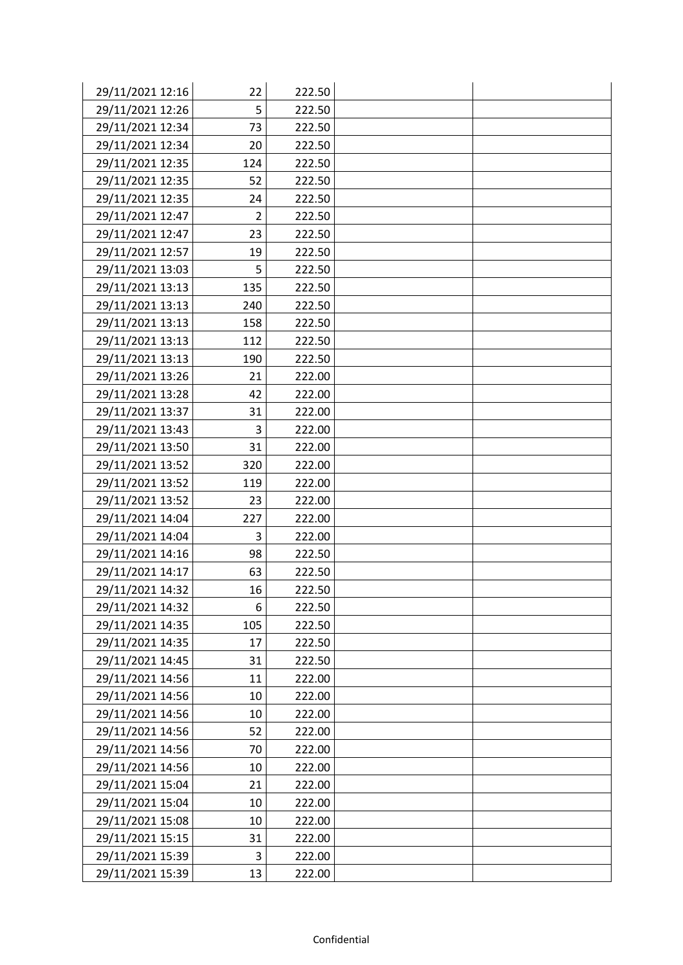| 29/11/2021 12:16 | 22             | 222.50 |  |
|------------------|----------------|--------|--|
| 29/11/2021 12:26 | 5              | 222.50 |  |
| 29/11/2021 12:34 | 73             | 222.50 |  |
| 29/11/2021 12:34 | 20             | 222.50 |  |
| 29/11/2021 12:35 | 124            | 222.50 |  |
| 29/11/2021 12:35 | 52             | 222.50 |  |
| 29/11/2021 12:35 | 24             | 222.50 |  |
| 29/11/2021 12:47 | $\overline{2}$ | 222.50 |  |
| 29/11/2021 12:47 | 23             | 222.50 |  |
| 29/11/2021 12:57 | 19             | 222.50 |  |
| 29/11/2021 13:03 | 5              | 222.50 |  |
| 29/11/2021 13:13 | 135            | 222.50 |  |
| 29/11/2021 13:13 | 240            | 222.50 |  |
| 29/11/2021 13:13 | 158            | 222.50 |  |
| 29/11/2021 13:13 | 112            | 222.50 |  |
| 29/11/2021 13:13 | 190            | 222.50 |  |
| 29/11/2021 13:26 | 21             | 222.00 |  |
| 29/11/2021 13:28 | 42             | 222.00 |  |
| 29/11/2021 13:37 | 31             | 222.00 |  |
| 29/11/2021 13:43 | 3              | 222.00 |  |
| 29/11/2021 13:50 | 31             | 222.00 |  |
| 29/11/2021 13:52 | 320            | 222.00 |  |
| 29/11/2021 13:52 | 119            | 222.00 |  |
| 29/11/2021 13:52 | 23             | 222.00 |  |
| 29/11/2021 14:04 | 227            | 222.00 |  |
| 29/11/2021 14:04 | 3              | 222.00 |  |
| 29/11/2021 14:16 | 98             | 222.50 |  |
| 29/11/2021 14:17 | 63             | 222.50 |  |
| 29/11/2021 14:32 | 16             | 222.50 |  |
| 29/11/2021 14:32 | 6              | 222.50 |  |
| 29/11/2021 14:35 | 105            | 222.50 |  |
| 29/11/2021 14:35 | 17             | 222.50 |  |
| 29/11/2021 14:45 | 31             | 222.50 |  |
| 29/11/2021 14:56 | 11             | 222.00 |  |
| 29/11/2021 14:56 | 10             | 222.00 |  |
| 29/11/2021 14:56 | 10             | 222.00 |  |
| 29/11/2021 14:56 | 52             | 222.00 |  |
| 29/11/2021 14:56 | 70             | 222.00 |  |
| 29/11/2021 14:56 | 10             | 222.00 |  |
| 29/11/2021 15:04 | 21             | 222.00 |  |
| 29/11/2021 15:04 | 10             | 222.00 |  |
| 29/11/2021 15:08 | 10             | 222.00 |  |
| 29/11/2021 15:15 | 31             | 222.00 |  |
| 29/11/2021 15:39 | 3              | 222.00 |  |
| 29/11/2021 15:39 | 13             | 222.00 |  |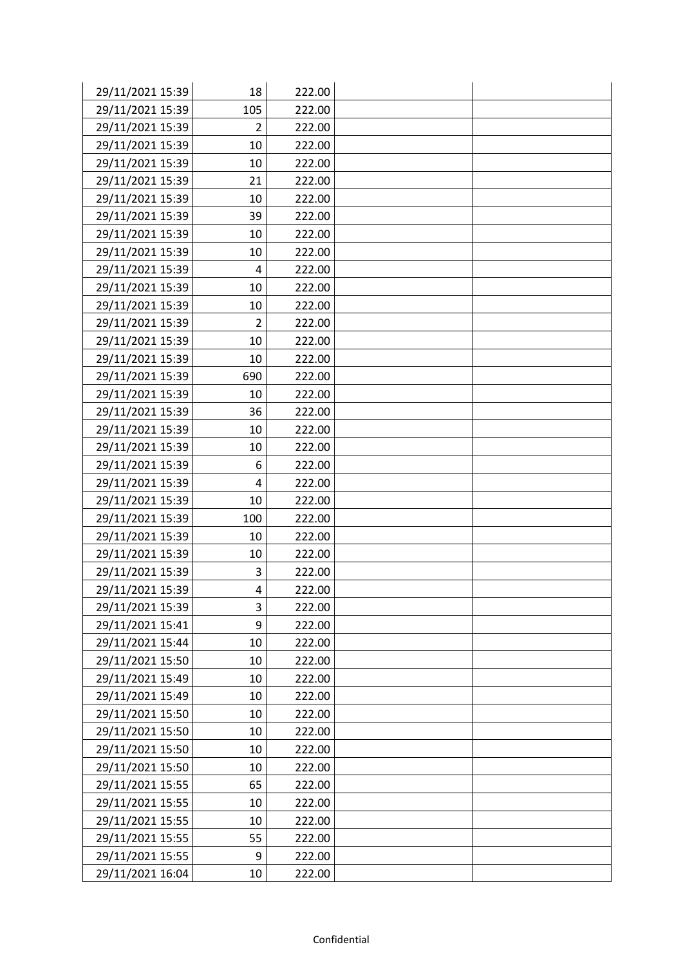| 29/11/2021 15:39 | 18             | 222.00 |  |
|------------------|----------------|--------|--|
| 29/11/2021 15:39 | 105            | 222.00 |  |
| 29/11/2021 15:39 | $\overline{2}$ | 222.00 |  |
| 29/11/2021 15:39 | 10             | 222.00 |  |
| 29/11/2021 15:39 | 10             | 222.00 |  |
| 29/11/2021 15:39 | 21             | 222.00 |  |
| 29/11/2021 15:39 | 10             | 222.00 |  |
| 29/11/2021 15:39 | 39             | 222.00 |  |
| 29/11/2021 15:39 | 10             | 222.00 |  |
| 29/11/2021 15:39 | 10             | 222.00 |  |
| 29/11/2021 15:39 | 4              | 222.00 |  |
| 29/11/2021 15:39 | 10             | 222.00 |  |
| 29/11/2021 15:39 | 10             | 222.00 |  |
| 29/11/2021 15:39 | $\overline{2}$ | 222.00 |  |
| 29/11/2021 15:39 | 10             | 222.00 |  |
| 29/11/2021 15:39 | 10             | 222.00 |  |
| 29/11/2021 15:39 | 690            | 222.00 |  |
| 29/11/2021 15:39 | 10             | 222.00 |  |
| 29/11/2021 15:39 | 36             | 222.00 |  |
| 29/11/2021 15:39 | 10             | 222.00 |  |
| 29/11/2021 15:39 | 10             | 222.00 |  |
| 29/11/2021 15:39 | 6              | 222.00 |  |
| 29/11/2021 15:39 | 4              | 222.00 |  |
| 29/11/2021 15:39 | 10             | 222.00 |  |
| 29/11/2021 15:39 | 100            | 222.00 |  |
| 29/11/2021 15:39 | 10             | 222.00 |  |
| 29/11/2021 15:39 | 10             | 222.00 |  |
| 29/11/2021 15:39 | 3              | 222.00 |  |
| 29/11/2021 15:39 | 4              | 222.00 |  |
| 29/11/2021 15:39 | 3              | 222.00 |  |
| 29/11/2021 15:41 | 9              | 222.00 |  |
| 29/11/2021 15:44 | 10             | 222.00 |  |
| 29/11/2021 15:50 | 10             | 222.00 |  |
| 29/11/2021 15:49 | 10             | 222.00 |  |
| 29/11/2021 15:49 | 10             | 222.00 |  |
| 29/11/2021 15:50 | 10             | 222.00 |  |
| 29/11/2021 15:50 | 10             | 222.00 |  |
| 29/11/2021 15:50 | 10             | 222.00 |  |
| 29/11/2021 15:50 | 10             | 222.00 |  |
| 29/11/2021 15:55 | 65             | 222.00 |  |
| 29/11/2021 15:55 | 10             | 222.00 |  |
| 29/11/2021 15:55 | 10             | 222.00 |  |
| 29/11/2021 15:55 | 55             | 222.00 |  |
| 29/11/2021 15:55 | 9              | 222.00 |  |
| 29/11/2021 16:04 | 10             | 222.00 |  |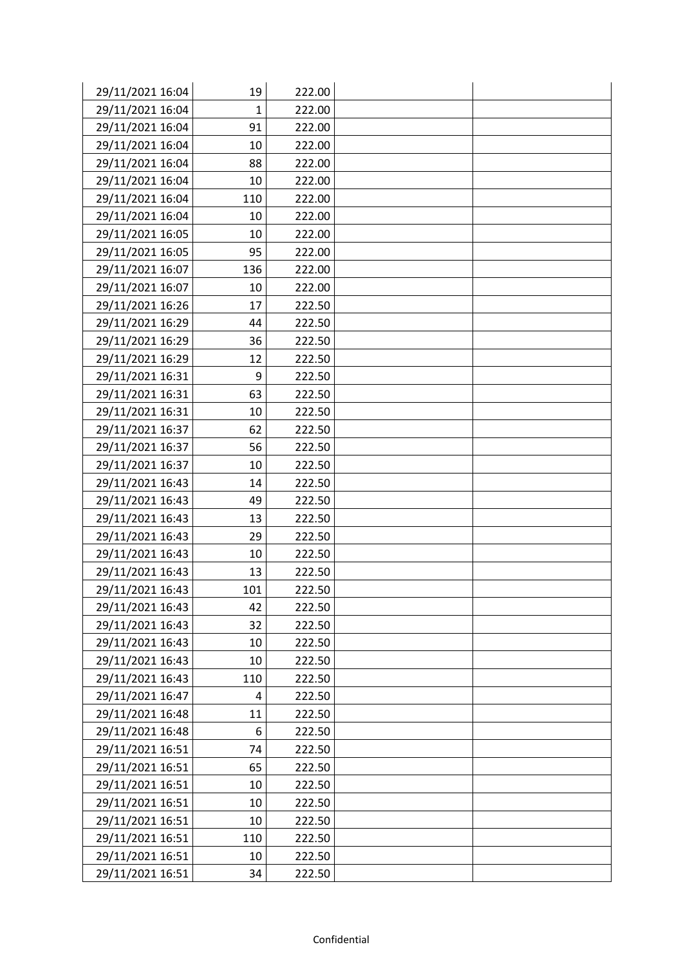| 29/11/2021 16:04 | 19  | 222.00 |  |
|------------------|-----|--------|--|
| 29/11/2021 16:04 | 1   | 222.00 |  |
| 29/11/2021 16:04 | 91  | 222.00 |  |
| 29/11/2021 16:04 | 10  | 222.00 |  |
| 29/11/2021 16:04 | 88  | 222.00 |  |
| 29/11/2021 16:04 | 10  | 222.00 |  |
| 29/11/2021 16:04 | 110 | 222.00 |  |
| 29/11/2021 16:04 | 10  | 222.00 |  |
| 29/11/2021 16:05 | 10  | 222.00 |  |
| 29/11/2021 16:05 | 95  | 222.00 |  |
| 29/11/2021 16:07 | 136 | 222.00 |  |
| 29/11/2021 16:07 | 10  | 222.00 |  |
| 29/11/2021 16:26 | 17  | 222.50 |  |
| 29/11/2021 16:29 | 44  | 222.50 |  |
| 29/11/2021 16:29 | 36  | 222.50 |  |
| 29/11/2021 16:29 | 12  | 222.50 |  |
| 29/11/2021 16:31 | 9   | 222.50 |  |
| 29/11/2021 16:31 | 63  | 222.50 |  |
| 29/11/2021 16:31 | 10  | 222.50 |  |
| 29/11/2021 16:37 | 62  | 222.50 |  |
| 29/11/2021 16:37 | 56  | 222.50 |  |
| 29/11/2021 16:37 | 10  | 222.50 |  |
| 29/11/2021 16:43 | 14  | 222.50 |  |
| 29/11/2021 16:43 | 49  | 222.50 |  |
| 29/11/2021 16:43 | 13  | 222.50 |  |
| 29/11/2021 16:43 | 29  | 222.50 |  |
| 29/11/2021 16:43 | 10  | 222.50 |  |
| 29/11/2021 16:43 | 13  | 222.50 |  |
| 29/11/2021 16:43 | 101 | 222.50 |  |
| 29/11/2021 16:43 | 42  | 222.50 |  |
| 29/11/2021 16:43 | 32  | 222.50 |  |
| 29/11/2021 16:43 | 10  | 222.50 |  |
| 29/11/2021 16:43 | 10  | 222.50 |  |
| 29/11/2021 16:43 | 110 | 222.50 |  |
| 29/11/2021 16:47 | 4   | 222.50 |  |
| 29/11/2021 16:48 | 11  | 222.50 |  |
| 29/11/2021 16:48 | 6   | 222.50 |  |
| 29/11/2021 16:51 | 74  | 222.50 |  |
| 29/11/2021 16:51 | 65  | 222.50 |  |
| 29/11/2021 16:51 | 10  | 222.50 |  |
| 29/11/2021 16:51 | 10  | 222.50 |  |
| 29/11/2021 16:51 | 10  | 222.50 |  |
| 29/11/2021 16:51 | 110 | 222.50 |  |
| 29/11/2021 16:51 | 10  | 222.50 |  |
| 29/11/2021 16:51 | 34  | 222.50 |  |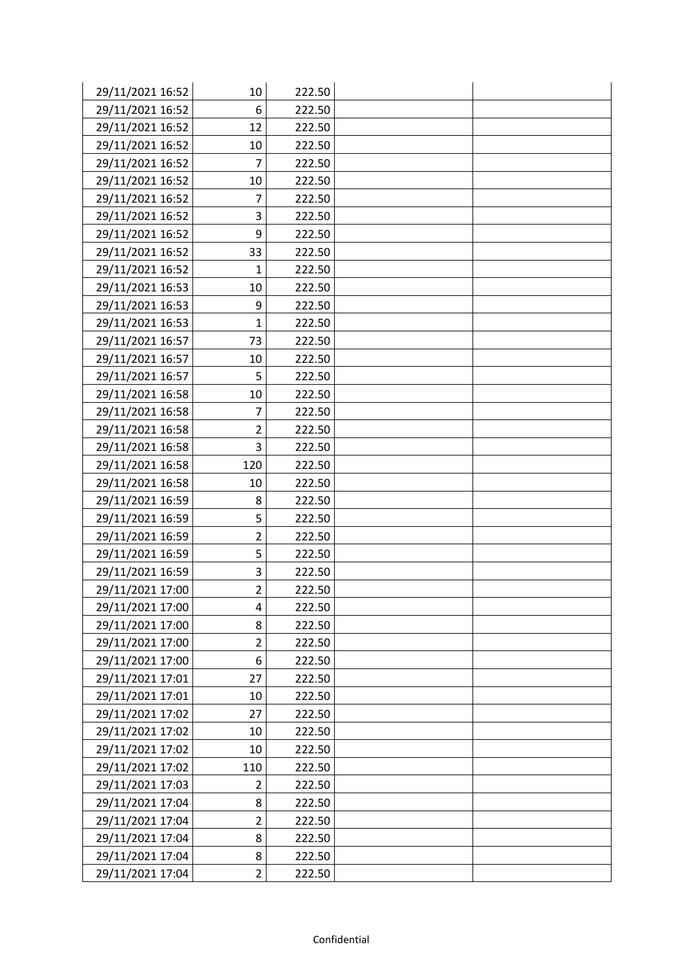| 29/11/2021 16:52 | 10             | 222.50 |  |
|------------------|----------------|--------|--|
| 29/11/2021 16:52 | 6              | 222.50 |  |
| 29/11/2021 16:52 | 12             | 222.50 |  |
| 29/11/2021 16:52 | 10             | 222.50 |  |
| 29/11/2021 16:52 | $\overline{7}$ | 222.50 |  |
| 29/11/2021 16:52 | 10             | 222.50 |  |
| 29/11/2021 16:52 | 7              | 222.50 |  |
| 29/11/2021 16:52 | 3              | 222.50 |  |
| 29/11/2021 16:52 | 9              | 222.50 |  |
| 29/11/2021 16:52 | 33             | 222.50 |  |
| 29/11/2021 16:52 | 1              | 222.50 |  |
| 29/11/2021 16:53 | 10             | 222.50 |  |
| 29/11/2021 16:53 | 9              | 222.50 |  |
| 29/11/2021 16:53 | 1              | 222.50 |  |
| 29/11/2021 16:57 | 73             | 222.50 |  |
| 29/11/2021 16:57 | 10             | 222.50 |  |
| 29/11/2021 16:57 | 5              | 222.50 |  |
| 29/11/2021 16:58 | 10             | 222.50 |  |
| 29/11/2021 16:58 | 7              | 222.50 |  |
| 29/11/2021 16:58 | $\overline{2}$ | 222.50 |  |
| 29/11/2021 16:58 | 3              | 222.50 |  |
| 29/11/2021 16:58 | 120            | 222.50 |  |
| 29/11/2021 16:58 | 10             | 222.50 |  |
| 29/11/2021 16:59 | 8              | 222.50 |  |
| 29/11/2021 16:59 | 5              | 222.50 |  |
| 29/11/2021 16:59 | $\overline{2}$ | 222.50 |  |
| 29/11/2021 16:59 | 5              | 222.50 |  |
| 29/11/2021 16:59 | 3              | 222.50 |  |
| 29/11/2021 17:00 | $\overline{2}$ | 222.50 |  |
| 29/11/2021 17:00 | 4              | 222.50 |  |
| 29/11/2021 17:00 | 8              | 222.50 |  |
| 29/11/2021 17:00 | $\overline{2}$ | 222.50 |  |
| 29/11/2021 17:00 | 6              | 222.50 |  |
| 29/11/2021 17:01 | 27             | 222.50 |  |
| 29/11/2021 17:01 | 10             | 222.50 |  |
| 29/11/2021 17:02 | 27             | 222.50 |  |
| 29/11/2021 17:02 | 10             | 222.50 |  |
| 29/11/2021 17:02 | 10             | 222.50 |  |
| 29/11/2021 17:02 | 110            | 222.50 |  |
| 29/11/2021 17:03 | 2              | 222.50 |  |
| 29/11/2021 17:04 | 8              | 222.50 |  |
| 29/11/2021 17:04 | $\overline{c}$ | 222.50 |  |
| 29/11/2021 17:04 | 8              | 222.50 |  |
| 29/11/2021 17:04 | 8              | 222.50 |  |
| 29/11/2021 17:04 | $\overline{2}$ | 222.50 |  |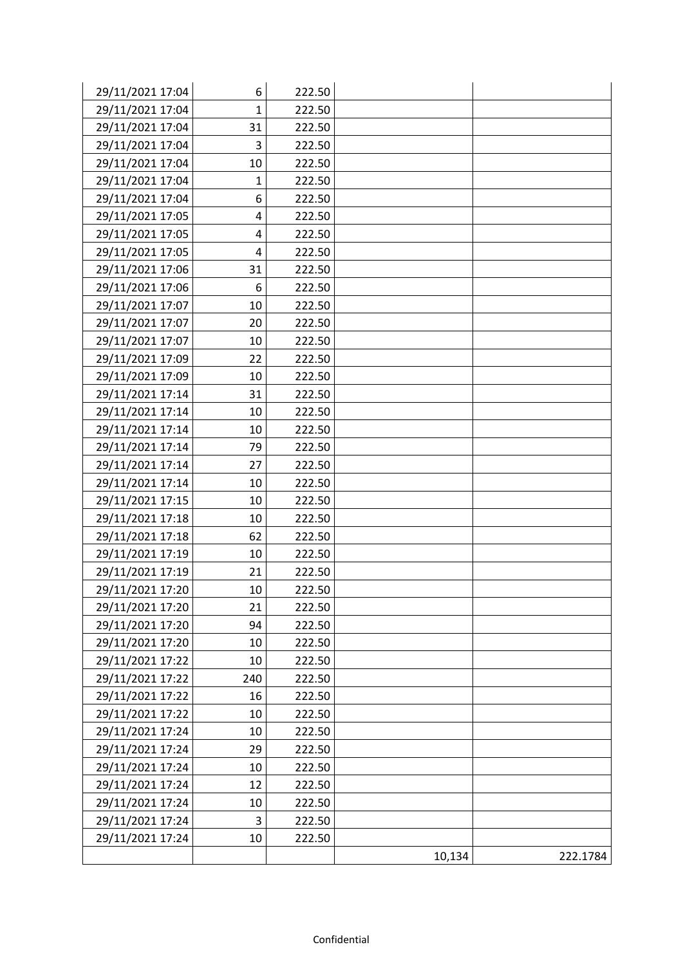| 29/11/2021 17:04 | 6   | 222.50 |        |          |
|------------------|-----|--------|--------|----------|
| 29/11/2021 17:04 | 1   | 222.50 |        |          |
| 29/11/2021 17:04 | 31  | 222.50 |        |          |
| 29/11/2021 17:04 | 3   | 222.50 |        |          |
| 29/11/2021 17:04 | 10  | 222.50 |        |          |
| 29/11/2021 17:04 | 1   | 222.50 |        |          |
| 29/11/2021 17:04 | 6   | 222.50 |        |          |
| 29/11/2021 17:05 | 4   | 222.50 |        |          |
| 29/11/2021 17:05 | 4   | 222.50 |        |          |
| 29/11/2021 17:05 | 4   | 222.50 |        |          |
| 29/11/2021 17:06 | 31  | 222.50 |        |          |
| 29/11/2021 17:06 | 6   | 222.50 |        |          |
| 29/11/2021 17:07 | 10  | 222.50 |        |          |
| 29/11/2021 17:07 | 20  | 222.50 |        |          |
| 29/11/2021 17:07 | 10  | 222.50 |        |          |
| 29/11/2021 17:09 | 22  | 222.50 |        |          |
| 29/11/2021 17:09 | 10  | 222.50 |        |          |
| 29/11/2021 17:14 | 31  | 222.50 |        |          |
| 29/11/2021 17:14 | 10  | 222.50 |        |          |
| 29/11/2021 17:14 | 10  | 222.50 |        |          |
| 29/11/2021 17:14 | 79  | 222.50 |        |          |
| 29/11/2021 17:14 | 27  | 222.50 |        |          |
| 29/11/2021 17:14 | 10  | 222.50 |        |          |
| 29/11/2021 17:15 | 10  | 222.50 |        |          |
| 29/11/2021 17:18 | 10  | 222.50 |        |          |
| 29/11/2021 17:18 | 62  | 222.50 |        |          |
| 29/11/2021 17:19 | 10  | 222.50 |        |          |
| 29/11/2021 17:19 | 21  | 222.50 |        |          |
| 29/11/2021 17:20 | 10  | 222.50 |        |          |
| 29/11/2021 17:20 | 21  | 222.50 |        |          |
| 29/11/2021 17:20 | 94  | 222.50 |        |          |
| 29/11/2021 17:20 | 10  | 222.50 |        |          |
| 29/11/2021 17:22 | 10  | 222.50 |        |          |
| 29/11/2021 17:22 | 240 | 222.50 |        |          |
| 29/11/2021 17:22 | 16  | 222.50 |        |          |
| 29/11/2021 17:22 | 10  | 222.50 |        |          |
| 29/11/2021 17:24 | 10  | 222.50 |        |          |
| 29/11/2021 17:24 | 29  | 222.50 |        |          |
| 29/11/2021 17:24 | 10  | 222.50 |        |          |
| 29/11/2021 17:24 | 12  | 222.50 |        |          |
| 29/11/2021 17:24 | 10  | 222.50 |        |          |
| 29/11/2021 17:24 | 3   | 222.50 |        |          |
| 29/11/2021 17:24 | 10  | 222.50 |        |          |
|                  |     |        | 10,134 | 222.1784 |